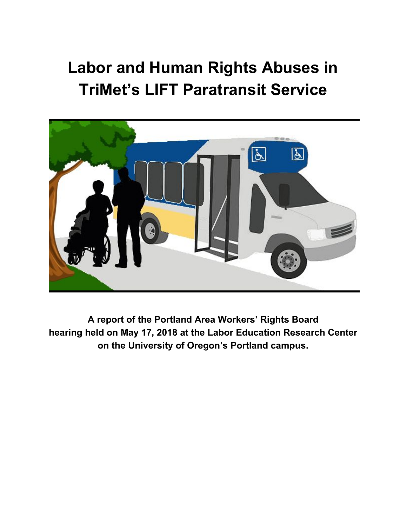# **Labor and Human Rights Abuses in TriMet's LIFT Paratransit Service**



**A report of the Portland Area Workers' Rights Board hearing held on May 17, 2018 at the Labor Education Research Center on the University of Oregon's Portland campus.**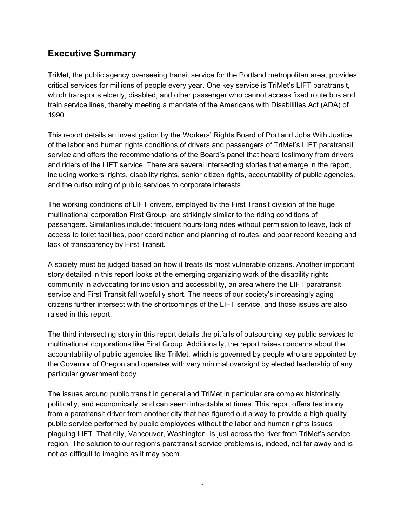## **Executive Summary**

TriMet, the public agency overseeing transit service for the Portland metropolitan area, provides critical services for millions of people every year. One key service is TriMet's LIFT paratransit, which transports elderly, disabled, and other passenger who cannot access fixed route bus and train service lines, thereby meeting a mandate of the Americans with Disabilities Act (ADA) of 1990.

This report details an investigation by the Workers' Rights Board of Portland Jobs With Justice of the labor and human rights conditions of drivers and passengers of TriMet's LIFT paratransit service and offers the recommendations of the Board's panel that heard testimony from drivers and riders of the LIFT service. There are several intersecting stories that emerge in the report, including workers' rights, disability rights, senior citizen rights, accountability of public agencies, and the outsourcing of public services to corporate interests.

The working conditions of LIFT drivers, employed by the First Transit division of the huge multinational corporation First Group, are strikingly similar to the riding conditions of passengers. Similarities include: frequent hours-long rides without permission to leave, lack of access to toilet facilities, poor coordination and planning of routes, and poor record keeping and lack of transparency by First Transit.

A society must be judged based on how it treats its most vulnerable citizens. Another important story detailed in this report looks at the emerging organizing work of the disability rights community in advocating for inclusion and accessibility, an area where the LIFT paratransit service and First Transit fall woefully short. The needs of our society's increasingly aging citizens further intersect with the shortcomings of the LIFT service, and those issues are also raised in this report.

The third intersecting story in this report details the pitfalls of outsourcing key public services to multinational corporations like First Group. Additionally, the report raises concerns about the accountability of public agencies like TriMet, which is governed by people who are appointed by the Governor of Oregon and operates with very minimal oversight by elected leadership of any particular government body.

The issues around public transit in general and TriMet in particular are complex historically, politically, and economically, and can seem intractable at times. This report offers testimony from a paratransit driver from another city that has figured out a way to provide a high quality public service performed by public employees without the labor and human rights issues plaguing LIFT. That city, Vancouver, Washington, is just across the river from TriMet's service region. The solution to our region's paratransit service problems is, indeed, not far away and is not as difficult to imagine as it may seem.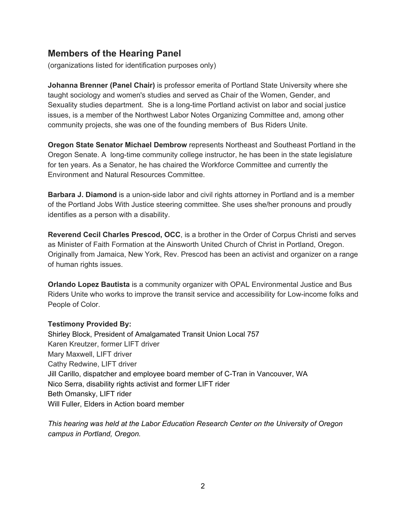#### **Members of the Hearing Panel**

(organizations listed for identification purposes only)

**Johanna Brenner (Panel Chair)** is professor emerita of Portland State University where she taught sociology and women's studies and served as Chair of the Women, Gender, and Sexuality studies department. She is a long-time Portland activist on labor and social justice issues, is a member of the Northwest Labor Notes Organizing Committee and, among other community projects, she was one of the founding members of Bus Riders Unite.

**Oregon State Senator Michael Dembrow** represents Northeast and Southeast Portland in the Oregon Senate. A long-time community college instructor, he has been in the state legislature for ten years. As a Senator, he has chaired the Workforce Committee and currently the Environment and Natural Resources Committee.

**Barbara J. Diamond** is a union-side labor and civil rights attorney in Portland and is a member of the Portland Jobs With Justice steering committee. She uses she/her pronouns and proudly identifies as a person with a disability.

**Reverend Cecil Charles Prescod, OCC**, is a brother in the Order of Corpus Christi and serves as Minister of Faith Formation at the Ainsworth United Church of Christ in Portland, Oregon. Originally from Jamaica, New York, Rev. Prescod has been an activist and organizer on a range of human rights issues.

**Orlando Lopez Bautista** is a community organizer with OPAL Environmental Justice and Bus Riders Unite who works to improve the transit service and accessibility for Low-income folks and People of Color.

#### **Testimony Provided By:**

Shirley Block, President of Amalgamated Transit Union Local 757 Karen Kreutzer, former LIFT driver Mary Maxwell, LIFT driver Cathy Redwine, LIFT driver Jill Carillo, dispatcher and employee board member of C-Tran in Vancouver, WA Nico Serra, disability rights activist and former LIFT rider Beth Omansky, LIFT rider Will Fuller, Elders in Action board member

*This hearing was held at the Labor Education Research Center on the University of Oregon campus in Portland, Oregon.*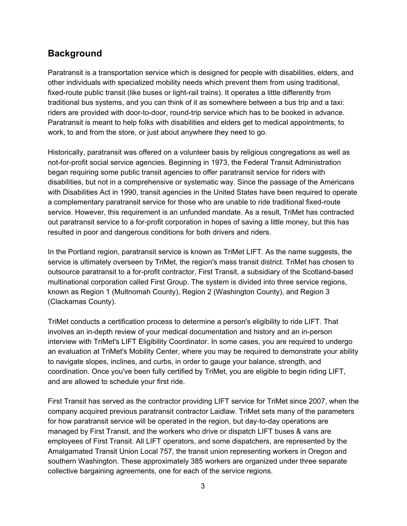## **Background**

Paratransit is a transportation service which is designed for people with disabilities, elders, and other individuals with specialized mobility needs which prevent them from using traditional, fixed-route public transit (like buses or light-rail trains). It operates a little differently from traditional bus systems, and you can think of it as somewhere between a bus trip and a taxi: riders are provided with door-to-door, round-trip service which has to be booked in advance. Paratransit is meant to help folks with disabilities and elders get to medical appointments, to work, to and from the store, or just about anywhere they need to go.

Historically, paratransit was offered on a volunteer basis by religious congregations as well as not-for-profit social service agencies. Beginning in 1973, the Federal Transit Administration began requiring some public transit agencies to offer paratransit service for riders with disabilities, but not in a comprehensive or systematic way. Since the passage of the Americans with Disabilities Act in 1990, transit agencies in the United States have been required to operate a complementary paratransit service for those who are unable to ride traditional fixed-route service. However, this requirement is an unfunded mandate. As a result, TriMet has contracted out paratransit service to a for-profit corporation in hopes of saving a little money, but this has resulted in poor and dangerous conditions for both drivers and riders.

In the Portland region, paratransit service is known as TriMet LIFT. As the name suggests, the service is ultimately overseen by TriMet, the region's mass transit district. TriMet has chosen to outsource paratransit to a for-profit contractor, First Transit, a subsidiary of the Scotland-based multinational corporation called First Group. The system is divided into three service regions, known as Region 1 (Multnomah County), Region 2 (Washington County), and Region 3 (Clackamas County).

TriMet conducts a certification process to determine a person's eligibility to ride LIFT. That involves an in-depth review of your medical documentation and history and an in-person interview with TriMet's LIFT Eligibility Coordinator. In some cases, you are required to undergo an evaluation at TriMet's Mobility Center, where you may be required to demonstrate your ability to navigate slopes, inclines, and curbs, in order to gauge your balance, strength, and coordination. Once you've been fully certified by TriMet, you are eligible to begin riding LIFT, and are allowed to schedule your first ride.

First Transit has served as the contractor providing LIFT service for TriMet since 2007, when the company acquired previous paratransit contractor Laidlaw. TriMet sets many of the parameters for how paratransit service will be operated in the region, but day-to-day operations are managed by First Transit, and the workers who drive or dispatch LIFT buses & vans are employees of First Transit. All LIFT operators, and some dispatchers, are represented by the Amalgamated Transit Union Local 757, the transit union representing workers in Oregon and southern Washington. These approximately 385 workers are organized under three separate collective bargaining agreements, one for each of the service regions.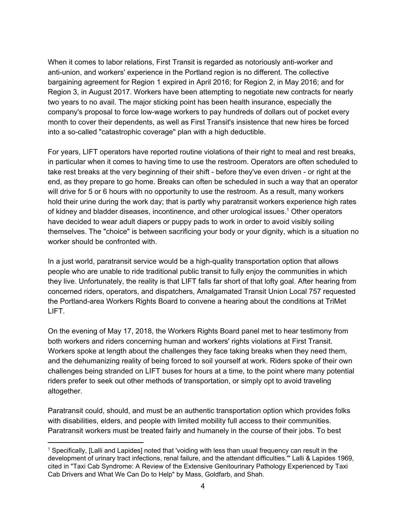When it comes to labor relations, First Transit is regarded as notoriously anti-worker and anti-union, and workers' experience in the Portland region is no different. The collective bargaining agreement for Region 1 expired in April 2016; for Region 2, in May 2016; and for Region 3, in August 2017. Workers have been attempting to negotiate new contracts for nearly two years to no avail. The major sticking point has been health insurance, especially the company's proposal to force low-wage workers to pay hundreds of dollars out of pocket every month to cover their dependents, as well as First Transit's insistence that new hires be forced into a so-called "catastrophic coverage" plan with a high deductible.

For years, LIFT operators have reported routine violations of their right to meal and rest breaks, in particular when it comes to having time to use the restroom. Operators are often scheduled to take rest breaks at the very beginning of their shift - before they've even driven - or right at the end, as they prepare to go home. Breaks can often be scheduled in such a way that an operator will drive for 5 or 6 hours with no opportunity to use the restroom. As a result, many workers hold their urine during the work day; that is partly why paratransit workers experience high rates of kidney and bladder diseases, incontinence, and other urological issues.<sup>1</sup> Other operators have decided to wear adult diapers or puppy pads to work in order to avoid visibly soiling themselves. The "choice" is between sacrificing your body or your dignity, which is a situation no worker should be confronted with.

In a just world, paratransit service would be a high-quality transportation option that allows people who are unable to ride traditional public transit to fully enjoy the communities in which they live. Unfortunately, the reality is that LIFT falls far short of that lofty goal. After hearing from concerned riders, operators, and dispatchers, Amalgamated Transit Union Local 757 requested the Portland-area Workers Rights Board to convene a hearing about the conditions at TriMet LIFT.

On the evening of May 17, 2018, the Workers Rights Board panel met to hear testimony from both workers and riders concerning human and workers' rights violations at First Transit. Workers spoke at length about the challenges they face taking breaks when they need them, and the dehumanizing reality of being forced to soil yourself at work. Riders spoke of their own challenges being stranded on LIFT buses for hours at a time, to the point where many potential riders prefer to seek out other methods of transportation, or simply opt to avoid traveling altogether.

Paratransit could, should, and must be an authentic transportation option which provides folks with disabilities, elders, and people with limited mobility full access to their communities. Paratransit workers must be treated fairly and humanely in the course of their jobs. To best

<sup>1</sup> Specifically, [Lalli and Lapides] noted that 'voiding with less than usual frequency can result in the development of urinary tract infections, renal failure, and the attendant difficulties.'" Lalli & Lapides 1969, cited in "Taxi Cab Syndrome: A Review of the Extensive Genitourinary Pathology Experienced by Taxi Cab Drivers and What We Can Do to Help" by Mass, Goldfarb, and Shah.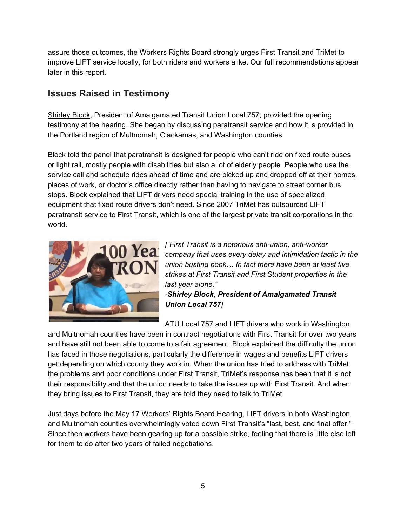assure those outcomes, the Workers Rights Board strongly urges First Transit and TriMet to improve LIFT service locally, for both riders and workers alike. Our full recommendations appear later in this report.

# **Issues Raised in Testimony**

Shirley Block, President of Amalgamated Transit Union Local 757, provided the opening testimony at the hearing. She began by discussing paratransit service and how it is provided in the Portland region of Multnomah, Clackamas, and Washington counties.

Block told the panel that paratransit is designed for people who can't ride on fixed route buses or light rail, mostly people with disabilities but also a lot of elderly people. People who use the service call and schedule rides ahead of time and are picked up and dropped off at their homes, places of work, or doctor's office directly rather than having to navigate to street corner bus stops. Block explained that LIFT drivers need special training in the use of specialized equipment that fixed route drivers don't need. Since 2007 TriMet has outsourced LIFT paratransit service to First Transit, which is one of the largest private transit corporations in the world.



*["First Transit is a notorious anti-union, anti-worker company that uses every delay and intimidation tactic in the union busting book… In fact there have been at least five strikes at First Transit and First Student properties in the last year alone."*

*-Shirley Block, President of Amalgamated Transit Union Local 757]*

ATU Local 757 and LIFT drivers who work in Washington

and Multnomah counties have been in contract negotiations with First Transit for over two years and have still not been able to come to a fair agreement. Block explained the difficulty the union has faced in those negotiations, particularly the difference in wages and benefits LIFT drivers get depending on which county they work in. When the union has tried to address with TriMet the problems and poor conditions under First Transit, TriMet's response has been that it is not their responsibility and that the union needs to take the issues up with First Transit. And when they bring issues to First Transit, they are told they need to talk to TriMet.

Just days before the May 17 Workers' Rights Board Hearing, LIFT drivers in both Washington and Multnomah counties overwhelmingly voted down First Transit's "last, best, and final offer." Since then workers have been gearing up for a possible strike, feeling that there is little else left for them to do after two years of failed negotiations.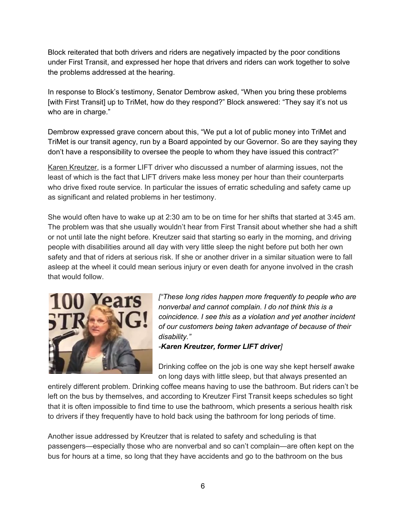Block reiterated that both drivers and riders are negatively impacted by the poor conditions under First Transit, and expressed her hope that drivers and riders can work together to solve the problems addressed at the hearing.

In response to Block's testimony, Senator Dembrow asked, "When you bring these problems [with First Transit] up to TriMet, how do they respond?" Block answered: "They say it's not us who are in charge."

Dembrow expressed grave concern about this, "We put a lot of public money into TriMet and TriMet is our transit agency, run by a Board appointed by our Governor. So are they saying they don't have a responsibility to oversee the people to whom they have issued this contract?"

Karen Kreutzer, is a former LIFT driver who discussed a number of alarming issues, not the least of which is the fact that LIFT drivers make less money per hour than their counterparts who drive fixed route service. In particular the issues of erratic scheduling and safety came up as significant and related problems in her testimony.

She would often have to wake up at 2:30 am to be on time for her shifts that started at 3:45 am. The problem was that she usually wouldn't hear from First Transit about whether she had a shift or not until late the night before. Kreutzer said that starting so early in the morning, and driving people with disabilities around all day with very little sleep the night before put both her own safety and that of riders at serious risk. If she or another driver in a similar situation were to fall asleep at the wheel it could mean serious injury or even death for anyone involved in the crash that would follow.



*["These long rides happen more frequently to people who are nonverbal and cannot complain. I do not think this is a coincidence. I see this as a violation and yet another incident of our customers being taken advantage of because of their disability."*

*-Karen Kreutzer, former LIFT driver]*

Drinking coffee on the job is one way she kept herself awake on long days with little sleep, but that always presented an

entirely different problem. Drinking coffee means having to use the bathroom. But riders can't be left on the bus by themselves, and according to Kreutzer First Transit keeps schedules so tight that it is often impossible to find time to use the bathroom, which presents a serious health risk to drivers if they frequently have to hold back using the bathroom for long periods of time.

Another issue addressed by Kreutzer that is related to safety and scheduling is that passengers—especially those who are nonverbal and so can't complain—are often kept on the bus for hours at a time, so long that they have accidents and go to the bathroom on the bus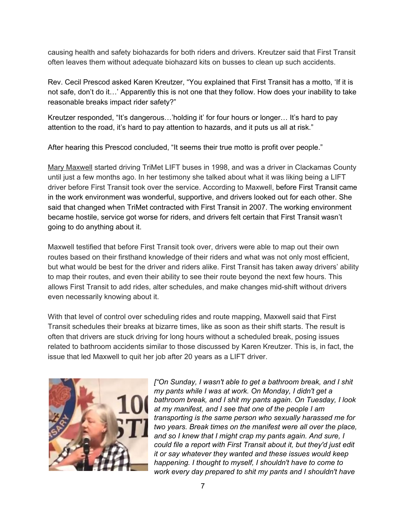causing health and safety biohazards for both riders and drivers. Kreutzer said that First Transit often leaves them without adequate biohazard kits on busses to clean up such accidents.

Rev. Cecil Prescod asked Karen Kreutzer, "You explained that First Transit has a motto, 'If it is not safe, don't do it…' Apparently this is not one that they follow. How does your inability to take reasonable breaks impact rider safety?"

Kreutzer responded, "It's dangerous…'holding it' for four hours or longer… It's hard to pay attention to the road, it's hard to pay attention to hazards, and it puts us all at risk."

After hearing this Prescod concluded, "It seems their true motto is profit over people."

Mary Maxwell started driving TriMet LIFT buses in 1998, and was a driver in Clackamas County until just a few months ago. In her testimony she talked about what it was liking being a LIFT driver before First Transit took over the service. According to Maxwell, before First Transit came in the work environment was wonderful, supportive, and drivers looked out for each other. She said that changed when TriMet contracted with First Transit in 2007. The working environment became hostile, service got worse for riders, and drivers felt certain that First Transit wasn't going to do anything about it.

Maxwell testified that before First Transit took over, drivers were able to map out their own routes based on their firsthand knowledge of their riders and what was not only most efficient, but what would be best for the driver and riders alike. First Transit has taken away drivers' ability to map their routes, and even their ability to see their route beyond the next few hours. This allows First Transit to add rides, alter schedules, and make changes mid-shift without drivers even necessarily knowing about it.

With that level of control over scheduling rides and route mapping, Maxwell said that First Transit schedules their breaks at bizarre times, like as soon as their shift starts. The result is often that drivers are stuck driving for long hours without a scheduled break, posing issues related to bathroom accidents similar to those discussed by Karen Kreutzer. This is, in fact, the issue that led Maxwell to quit her job after 20 years as a LIFT driver.



*["On Sunday, I wasn't able to get a bathroom break, and I shit my pants while I was at work. On Monday, I didn't get a bathroom break, and I shit my pants again. On Tuesday, I look at my manifest, and I see that one of the people I am transporting is the same person who sexually harassed me for two years. Break times on the manifest were all over the place, and so I knew that I might crap my pants again. And sure, I could file a report with First Transit about it, but they'd just edit it or say whatever they wanted and these issues would keep happening. I thought to myself, I shouldn't have to come to work every day prepared to shit my pants and I shouldn't have*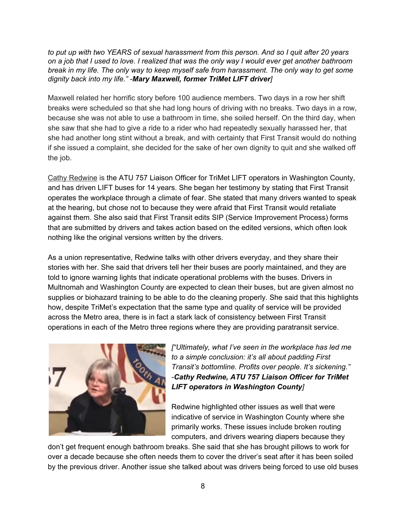to put up with two YEARS of sexual harassment from this person. And so I quit after 20 years on a job that I used to love. I realized that was the only way I would ever get another bathroom break in my life. The only way to keep myself safe from harassment. The only way to get some *dignity back into my life." -Mary Maxwell, former TriMet LIFT driver]*

Maxwell related her horrific story before 100 audience members. Two days in a row her shift breaks were scheduled so that she had long hours of driving with no breaks. Two days in a row, because she was not able to use a bathroom in time, she soiled herself. On the third day, when she saw that she had to give a ride to a rider who had repeatedly sexually harassed her, that she had another long stint without a break, and with certainty that First Transit would do nothing if she issued a complaint, she decided for the sake of her own dignity to quit and she walked off the job.

Cathy Redwine is the ATU 757 Liaison Officer for TriMet LIFT operators in Washington County, and has driven LIFT buses for 14 years. She began her testimony by stating that First Transit operates the workplace through a climate of fear. She stated that many drivers wanted to speak at the hearing, but chose not to because they were afraid that First Transit would retaliate against them. She also said that First Transit edits SIP (Service Improvement Process) forms that are submitted by drivers and takes action based on the edited versions, which often look nothing like the original versions written by the drivers.

As a union representative, Redwine talks with other drivers everyday, and they share their stories with her. She said that drivers tell her their buses are poorly maintained, and they are told to ignore warning lights that indicate operational problems with the buses. Drivers in Multnomah and Washington County are expected to clean their buses, but are given almost no supplies or biohazard training to be able to do the cleaning properly. She said that this highlights how, despite TriMet's expectation that the same type and quality of service will be provided across the Metro area, there is in fact a stark lack of consistency between First Transit operations in each of the Metro three regions where they are providing paratransit service.



*["Ultimately, what I've seen in the workplace has led me to a simple conclusion: it's all about padding First Transit's bottomline. Profits over people. It's sickening." -Cathy Redwine, ATU 757 Liaison Officer for TriMet LIFT operators in Washington County]*

Redwine highlighted other issues as well that were indicative of service in Washington County where she primarily works. These issues include broken routing computers, and drivers wearing diapers because they

don't get frequent enough bathroom breaks. She said that she has brought pillows to work for over a decade because she often needs them to cover the driver's seat after it has been soiled by the previous driver. Another issue she talked about was drivers being forced to use old buses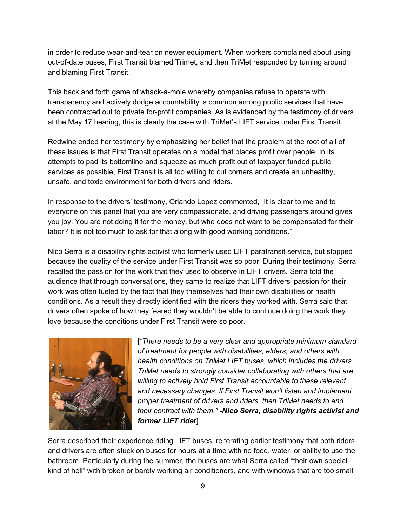in order to reduce wear-and-tear on newer equipment. When workers complained about using out-of-date buses, First Transit blamed Trimet, and then TriMet responded by turning around and blaming First Transit.

This back and forth game of whack-a-mole whereby companies refuse to operate with transparency and actively dodge accountability is common among public services that have been contracted out to private for-profit companies. As is evidenced by the testimony of drivers at the May 17 hearing, this is clearly the case with TriMet's LIFT service under First Transit.

Redwine ended her testimony by emphasizing her belief that the problem at the root of all of these issues is that First Transit operates on a model that places profit over people. In its attempts to pad its bottomline and squeeze as much profit out of taxpayer funded public services as possible, First Transit is all too willing to cut corners and create an unhealthy, unsafe, and toxic environment for both drivers and riders.

In response to the drivers' testimony, Orlando Lopez commented, "It is clear to me and to everyone on this panel that you are very compassionate, and driving passengers around gives you joy. You are not doing it for the money, but who does not want to be compensated for their labor? It is not too much to ask for that along with good working conditions."

Nico Serra is a disability rights activist who formerly used LIFT paratransit service, but stopped because the quality of the service under First Transit was so poor. During their testimony, Serra recalled the passion for the work that they used to observe in LIFT drivers. Serra told the audience that through conversations, they came to realize that LIFT drivers' passion for their work was often fueled by the fact that they themselves had their own disabilities or health conditions. As a result they directly identified with the riders they worked with. Serra said that drivers often spoke of how they feared they wouldn't be able to continue doing the work they love because the conditions under First Transit were so poor.



[*"There needs to be a very clear and appropriate minimum standard of treatment for people with disabilities, elders, and others with health conditions on TriMet LIFT buses, which includes the drivers. TriMet needs to strongly consider collaborating with others that are willing to actively hold First Transit accountable to these relevant and necessary changes. If First Transit won't listen and implement proper treatment of drivers and riders, then TriMet needs to end their contract with them." -Nico Serra, disability rights activist and former LIFT ride***r** ]

Serra described their experience riding LIFT buses, reiterating earlier testimony that both riders and drivers are often stuck on buses for hours at a time with no food, water, or ability to use the bathroom. Particularly during the summer, the buses are what Serra called "their own special kind of hell" with broken or barely working air conditioners, and with windows that are too small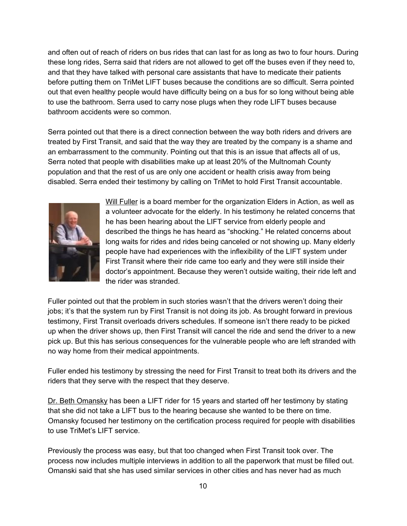and often out of reach of riders on bus rides that can last for as long as two to four hours. During these long rides, Serra said that riders are not allowed to get off the buses even if they need to, and that they have talked with personal care assistants that have to medicate their patients before putting them on TriMet LIFT buses because the conditions are so difficult. Serra pointed out that even healthy people would have difficulty being on a bus for so long without being able to use the bathroom. Serra used to carry nose plugs when they rode LIFT buses because bathroom accidents were so common.

Serra pointed out that there is a direct connection between the way both riders and drivers are treated by First Transit, and said that the way they are treated by the company is a shame and an embarrassment to the community. Pointing out that this is an issue that affects all of us, Serra noted that people with disabilities make up at least 20% of the Multnomah County population and that the rest of us are only one accident or health crisis away from being disabled. Serra ended their testimony by calling on TriMet to hold First Transit accountable.



Will Fuller is a board member for the organization Elders in Action, as well as a volunteer advocate for the elderly. In his testimony he related concerns that he has been hearing about the LIFT service from elderly people and described the things he has heard as "shocking." He related concerns about long waits for rides and rides being canceled or not showing up. Many elderly people have had experiences with the inflexibility of the LIFT system under First Transit where their ride came too early and they were still inside their doctor's appointment. Because they weren't outside waiting, their ride left and the rider was stranded.

Fuller pointed out that the problem in such stories wasn't that the drivers weren't doing their jobs; it's that the system run by First Transit is not doing its job. As brought forward in previous testimony, First Transit overloads drivers schedules. If someone isn't there ready to be picked up when the driver shows up, then First Transit will cancel the ride and send the driver to a new pick up. But this has serious consequences for the vulnerable people who are left stranded with no way home from their medical appointments.

Fuller ended his testimony by stressing the need for First Transit to treat both its drivers and the riders that they serve with the respect that they deserve.

Dr. Beth Omansky has been a LIFT rider for 15 years and started off her testimony by stating that she did not take a LIFT bus to the hearing because she wanted to be there on time. Omansky focused her testimony on the certification process required for people with disabilities to use TriMet's LIFT service.

Previously the process was easy, but that too changed when First Transit took over. The process now includes multiple interviews in addition to all the paperwork that must be filled out. Omanski said that she has used similar services in other cities and has never had as much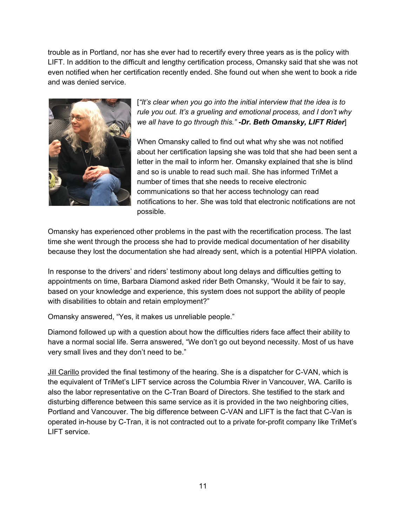trouble as in Portland, nor has she ever had to recertify every three years as is the policy with LIFT. In addition to the difficult and lengthy certification process, Omansky said that she was not even notified when her certification recently ended. She found out when she went to book a ride and was denied service.



[*"It's clear when you go into the initial interview that the idea is to rule you out. It's a grueling and emotional process, and I don't why we all have to go through this." -Dr. Beth Omansky, LIFT Rider*]

When Omansky called to find out what why she was not notified about her certification lapsing she was told that she had been sent a letter in the mail to inform her. Omansky explained that she is blind and so is unable to read such mail. She has informed TriMet a number of times that she needs to receive electronic communications so that her access technology can read notifications to her. She was told that electronic notifications are not possible.

Omansky has experienced other problems in the past with the recertification process. The last time she went through the process she had to provide medical documentation of her disability because they lost the documentation she had already sent, which is a potential HIPPA violation.

In response to the drivers' and riders' testimony about long delays and difficulties getting to appointments on time, Barbara Diamond asked rider Beth Omansky, "Would it be fair to say, based on your knowledge and experience, this system does not support the ability of people with disabilities to obtain and retain employment?"

Omansky answered, "Yes, it makes us unreliable people."

Diamond followed up with a question about how the difficulties riders face affect their ability to have a normal social life. Serra answered, "We don't go out beyond necessity. Most of us have very small lives and they don't need to be."

Jill Carillo provided the final testimony of the hearing. She is a dispatcher for C-VAN, which is the equivalent of TriMet's LIFT service across the Columbia River in Vancouver, WA. Carillo is also the labor representative on the C-Tran Board of Directors. She testified to the stark and disturbing difference between this same service as it is provided in the two neighboring cities, Portland and Vancouver. The big difference between C-VAN and LIFT is the fact that C-Van is operated in-house by C-Tran, it is not contracted out to a private for-profit company like TriMet's LIFT service.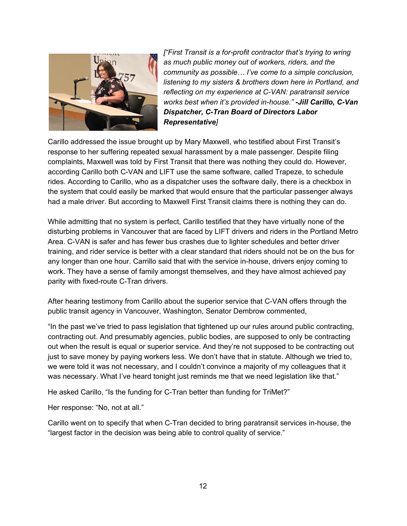

*["First Transit is a for-profit contractor that's trying to wring as much public money out of workers, riders, and the community as possible… I've come to a simple conclusion, listening to my sisters & brothers down here in Portland, and reflecting on my experience at C-VAN: paratransit service works best when it's provided in-house." -Jill Carillo, C-Van Dispatcher, C-Tran Board of Directors Labor Representative]*

Carillo addressed the issue brought up by Mary Maxwell, who testified about First Transit's response to her suffering repeated sexual harassment by a male passenger. Despite filing complaints, Maxwell was told by First Transit that there was nothing they could do. However, according Carillo both C-VAN and LIFT use the same software, called Trapeze, to schedule rides. According to Carillo, who as a dispatcher uses the software daily, there is a checkbox in the system that could easily be marked that would ensure that the particular passenger always had a male driver. But according to Maxwell First Transit claims there is nothing they can do.

While admitting that no system is perfect, Carillo testified that they have virtually none of the disturbing problems in Vancouver that are faced by LIFT drivers and riders in the Portland Metro Area. C-VAN is safer and has fewer bus crashes due to lighter schedules and better driver training, and rider service is better with a clear standard that riders should not be on the bus for any longer than one hour. Carrillo said that with the service in-house, drivers enjoy coming to work. They have a sense of family amongst themselves, and they have almost achieved pay parity with fixed-route C-Tran drivers.

After hearing testimony from Carillo about the superior service that C-VAN offers through the public transit agency in Vancouver, Washington, Senator Dembrow commented,

"In the past we've tried to pass legislation that tightened up our rules around public contracting, contracting out. And presumably agencies, public bodies, are supposed to only be contracting out when the result is equal or superior service. And they're not supposed to be contracting out just to save money by paying workers less. We don't have that in statute. Although we tried to, we were told it was not necessary, and I couldn't convince a majority of my colleagues that it was necessary. What I've heard tonight just reminds me that we need legislation like that."

He asked Carillo, "Is the funding for C-Tran better than funding for TriMet?"

Her response: "No, not at all."

Carillo went on to specify that when C-Tran decided to bring paratransit services in-house, the "largest factor in the decision was being able to control quality of service."